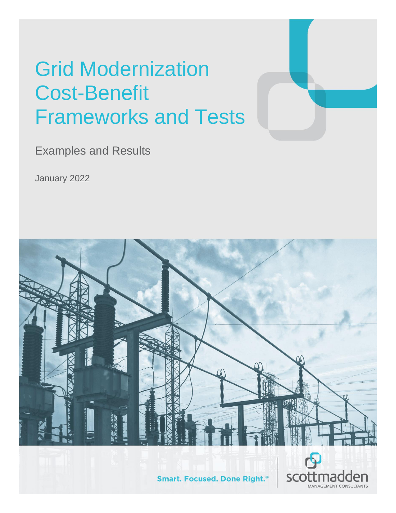# Grid Modernization Cost-Benefit Frameworks and Tests

Examples and Results

January 2022

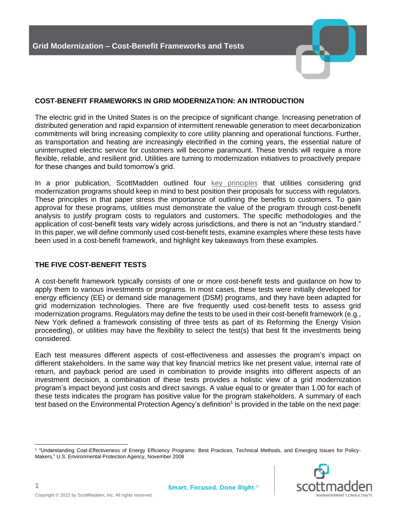#### **COST-BENEFIT FRAMEWORKS IN GRID MODERNIZATION: AN INTRODUCTION**

The electric grid in the United States is on the precipice of significant change. Increasing penetration of distributed generation and rapid expansion of intermittent renewable generation to meet decarbonization commitments will bring increasing complexity to core utility planning and operational functions. Further, as transportation and heating are increasingly electrified in the coming years, the essential nature of uninterrupted electric service for customers will become paramount. These trends will require a more flexible, reliable, and resilient grid. Utilities are turning to modernization initiatives to proactively prepare for these changes and build tomorrow's grid.

In a prior publication, ScottMadden outlined four [key principles](https://www.scottmadden.com/insight/four-keys-to-a-successful-grid-modernization-program/) that utilities considering grid modernization programs should keep in mind to best position their proposals for success with regulators. These principles in that paper stress the importance of outlining the benefits to customers. To gain approval for these programs, utilities must demonstrate the value of the program through cost-benefit analysis to justify program costs to regulators and customers. The specific methodologies and the application of cost-benefit tests vary widely across jurisdictions, and there is not an "industry standard." In this paper, we will define commonly used cost-benefit tests, examine examples where these tests have been used in a cost-benefit framework, and highlight key takeaways from these examples.

### **THE FIVE COST-BENEFIT TESTS**

A cost-benefit framework typically consists of one or more cost-benefit tests and guidance on how to apply them to various investments or programs. In most cases, these tests were initially developed for energy efficiency (EE) or demand side management (DSM) programs, and they have been adapted for grid modernization technologies. There are five frequently used cost-benefit tests to assess grid modernization programs. Regulators may define the tests to be used in their cost-benefit framework (e.g., New York defined a framework consisting of three tests as part of its Reforming the Energy Vision proceeding), or utilities may have the flexibility to select the test(s) that best fit the investments being considered.

Each test measures different aspects of cost-effectiveness and assesses the program's impact on different stakeholders. In the same way that key financial metrics like net present value, internal rate of return, and payback period are used in combination to provide insights into different aspects of an investment decision, a combination of these tests provides a holistic view of a grid modernization program's impact beyond just costs and direct savings. A value equal to or greater than 1.00 for each of these tests indicates the program has positive value for the program stakeholders. A summary of each test based on the Environmental Protection Agency's definition<sup>1</sup> is provided in the table on the next page:

<sup>1</sup> "Understanding Cost-Effectiveness of Energy Efficiency Programs: Best Practices, Technical Methods, and Emerging Issues for Policy-Makers," U.S. Environmental Protection Agency, November 2008

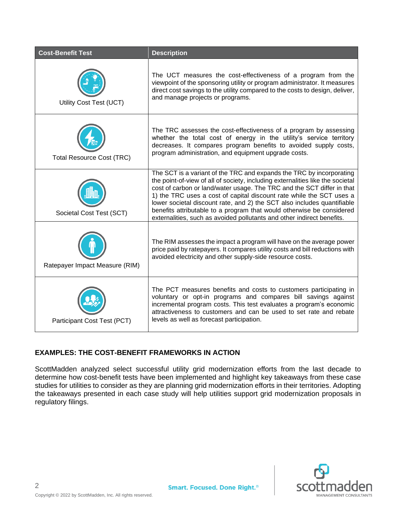| <b>Cost-Benefit Test</b>         | <b>Description</b>                                                                                                                                                                                                                                                                                                                                                                                                                                                                                                                     |
|----------------------------------|----------------------------------------------------------------------------------------------------------------------------------------------------------------------------------------------------------------------------------------------------------------------------------------------------------------------------------------------------------------------------------------------------------------------------------------------------------------------------------------------------------------------------------------|
| Utility Cost Test (UCT)          | The UCT measures the cost-effectiveness of a program from the<br>viewpoint of the sponsoring utility or program administrator. It measures<br>direct cost savings to the utility compared to the costs to design, deliver,<br>and manage projects or programs.                                                                                                                                                                                                                                                                         |
| <b>Total Resource Cost (TRC)</b> | The TRC assesses the cost-effectiveness of a program by assessing<br>whether the total cost of energy in the utility's service territory<br>decreases. It compares program benefits to avoided supply costs,<br>program administration, and equipment upgrade costs.                                                                                                                                                                                                                                                                   |
| Societal Cost Test (SCT)         | The SCT is a variant of the TRC and expands the TRC by incorporating<br>the point-of-view of all of society, including externalities like the societal<br>cost of carbon or land/water usage. The TRC and the SCT differ in that<br>1) the TRC uses a cost of capital discount rate while the SCT uses a<br>lower societal discount rate, and 2) the SCT also includes quantifiable<br>benefits attributable to a program that would otherwise be considered<br>externalities, such as avoided pollutants and other indirect benefits. |
| Ratepayer Impact Measure (RIM)   | The RIM assesses the impact a program will have on the average power<br>price paid by ratepayers. It compares utility costs and bill reductions with<br>avoided electricity and other supply-side resource costs.                                                                                                                                                                                                                                                                                                                      |
| Participant Cost Test (PCT)      | The PCT measures benefits and costs to customers participating in<br>voluntary or opt-in programs and compares bill savings against<br>incremental program costs. This test evaluates a program's economic<br>attractiveness to customers and can be used to set rate and rebate<br>levels as well as forecast participation.                                                                                                                                                                                                          |

### **EXAMPLES: THE COST-BENEFIT FRAMEWORKS IN ACTION**

ScottMadden analyzed select successful utility grid modernization efforts from the last decade to determine how cost-benefit tests have been implemented and highlight key takeaways from these case studies for utilities to consider as they are planning grid modernization efforts in their territories. Adopting the takeaways presented in each case study will help utilities support grid modernization proposals in regulatory filings.

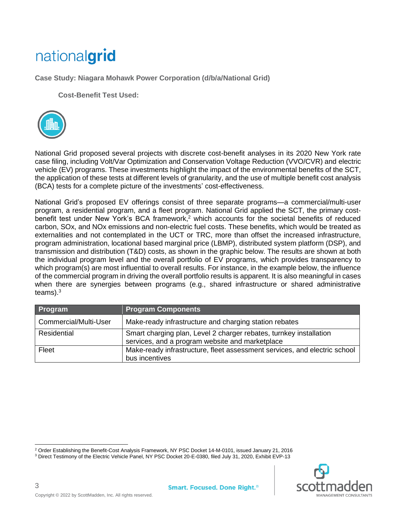## nationalgrid

**Case Study: Niagara Mohawk Power Corporation (d/b/a/National Grid)** 

**Cost-Benefit Test Used:** 



National Grid proposed several projects with discrete cost-benefit analyses in its 2020 New York rate case filing, including Volt/Var Optimization and Conservation Voltage Reduction (VVO/CVR) and electric vehicle (EV) programs. These investments highlight the impact of the environmental benefits of the SCT, the application of these tests at different levels of granularity, and the use of multiple benefit cost analysis (BCA) tests for a complete picture of the investments' cost-effectiveness.

National Grid's proposed EV offerings consist of three separate programs—a commercial/multi-user program, a residential program, and a fleet program. National Grid applied the SCT, the primary costbenefit test under New York's BCA framework, <sup>2</sup> which accounts for the societal benefits of reduced carbon, SOx, and NOx emissions and non-electric fuel costs. These benefits, which would be treated as externalities and not contemplated in the UCT or TRC, more than offset the increased infrastructure, program administration, locational based marginal price (LBMP), distributed system platform (DSP), and transmission and distribution (T&D) costs, as shown in the graphic below. The results are shown at both the individual program level and the overall portfolio of EV programs, which provides transparency to which program(s) are most influential to overall results. For instance, in the example below, the influence of the commercial program in driving the overall portfolio results is apparent. It is also meaningful in cases when there are synergies between programs (e.g., shared infrastructure or shared administrative teams). $^3$ 

| Program               | <b>Program Components</b>                                                                                             |
|-----------------------|-----------------------------------------------------------------------------------------------------------------------|
| Commercial/Multi-User | Make-ready infrastructure and charging station rebates                                                                |
| Residential           | Smart charging plan, Level 2 charger rebates, turnkey installation<br>services, and a program website and marketplace |
| Fleet                 | Make-ready infrastructure, fleet assessment services, and electric school<br>bus incentives                           |

<sup>&</sup>lt;sup>2</sup> Order Establishing the Benefit-Cost Analysis Framework, NY PSC Docket 14-M-0101, issued January 21, 2016





3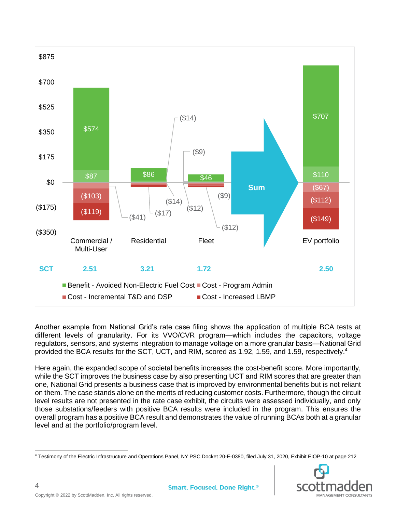

Another example from National Grid's rate case filing shows the application of multiple BCA tests at different levels of granularity. For its VVO/CVR program—which includes the capacitors, voltage regulators, sensors, and systems integration to manage voltage on a more granular basis—National Grid provided the BCA results for the SCT, UCT, and RIM, scored as 1.92, 1.59, and 1.59, respectively. 4

Here again, the expanded scope of societal benefits increases the cost-benefit score. More importantly, while the SCT improves the business case by also presenting UCT and RIM scores that are greater than one, National Grid presents a business case that is improved by environmental benefits but is not reliant on them. The case stands alone on the merits of reducing customer costs. Furthermore, though the circuit level results are not presented in the rate case exhibit, the circuits were assessed individually, and only those substations/feeders with positive BCA results were included in the program. This ensures the overall program has a positive BCA result and demonstrates the value of running BCAs both at a granular level and at the portfolio/program level.

<sup>4</sup> Testimony of the Electric Infrastructure and Operations Panel, NY PSC Docket 20-E-0380, filed July 31, 2020, Exhibit EIOP-10 at page 212

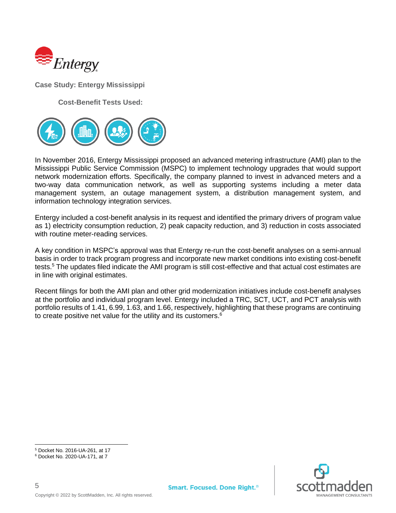

**Case Study: Entergy Mississippi**

**Cost-Benefit Tests Used:**



In November 2016, Entergy Mississippi proposed an advanced metering infrastructure (AMI) plan to the Mississippi Public Service Commission (MSPC) to implement technology upgrades that would support network modernization efforts. Specifically, the company planned to invest in advanced meters and a two-way data communication network, as well as supporting systems including a meter data management system, an outage management system, a distribution management system, and information technology integration services.

Entergy included a cost-benefit analysis in its request and identified the primary drivers of program value as 1) electricity consumption reduction, 2) peak capacity reduction, and 3) reduction in costs associated with routine meter-reading services.

A key condition in MSPC's approval was that Entergy re-run the cost-benefit analyses on a semi-annual basis in order to track program progress and incorporate new market conditions into existing cost-benefit tests.<sup>5</sup> The updates filed indicate the AMI program is still cost-effective and that actual cost estimates are in line with original estimates.

Recent filings for both the AMI plan and other grid modernization initiatives include cost-benefit analyses at the portfolio and individual program level. Entergy included a TRC, SCT, UCT, and PCT analysis with portfolio results of 1.41, 6.99, 1.63, and 1.66, respectively, highlighting that these programs are continuing to create positive net value for the utility and its customers.<sup>6</sup>

5



<sup>5</sup> Docket No. 2016-UA-261, at 17

<sup>6</sup> Docket No. 2020-UA-171, at 7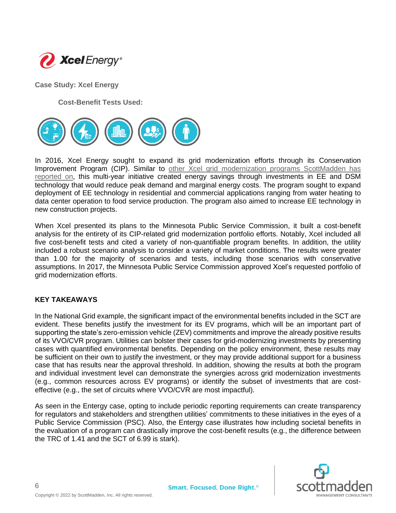

**Case Study: Xcel Energy**

**Cost-Benefit Tests Used:**



In 2016, Xcel Energy sought to expand its grid modernization efforts through its Conservation Improvement Program (CIP). Similar to [other Xcel grid modernization programs ScottMadden has](https://www.scottmadden.com/insight/xcel-energy-prepares-future-integrated-distribution-plan-filing-minnesota/)  [reported on,](https://www.scottmadden.com/insight/xcel-energy-prepares-future-integrated-distribution-plan-filing-minnesota/) this multi-year initiative created energy savings through investments in EE and DSM technology that would reduce peak demand and marginal energy costs. The program sought to expand deployment of EE technology in residential and commercial applications ranging from water heating to data center operation to food service production. The program also aimed to increase EE technology in new construction projects.

When Xcel presented its plans to the Minnesota Public Service Commission, it built a cost-benefit analysis for the entirety of its CIP-related grid modernization portfolio efforts. Notably, Xcel included all five cost-benefit tests and cited a variety of non-quantifiable program benefits. In addition, the utility included a robust scenario analysis to consider a variety of market conditions. The results were greater than 1.00 for the majority of scenarios and tests, including those scenarios with conservative assumptions. In 2017, the Minnesota Public Service Commission approved Xcel's requested portfolio of grid modernization efforts.

#### **KEY TAKEAWAYS**

In the National Grid example, the significant impact of the environmental benefits included in the SCT are evident. These benefits justify the investment for its EV programs, which will be an important part of supporting the state's zero-emission vehicle (ZEV) commitments and improve the already positive results of its VVO/CVR program. Utilities can bolster their cases for grid-modernizing investments by presenting cases with quantified environmental benefits. Depending on the policy environment, these results may be sufficient on their own to justify the investment, or they may provide additional support for a business case that has results near the approval threshold. In addition, showing the results at both the program and individual investment level can demonstrate the synergies across grid modernization investments (e.g., common resources across EV programs) or identify the subset of investments that are costeffective (e.g., the set of circuits where VVO/CVR are most impactful).

As seen in the Entergy case, opting to include periodic reporting requirements can create transparency for regulators and stakeholders and strengthen utilities' commitments to these initiatives in the eyes of a Public Service Commission (PSC). Also, the Entergy case illustrates how including societal benefits in the evaluation of a program can drastically improve the cost-benefit results (e.g., the difference between the TRC of 1.41 and the SCT of 6.99 is stark).